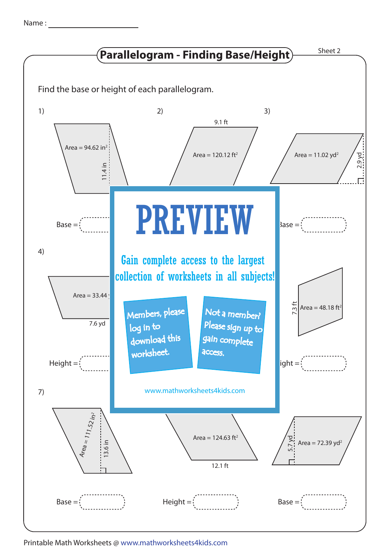